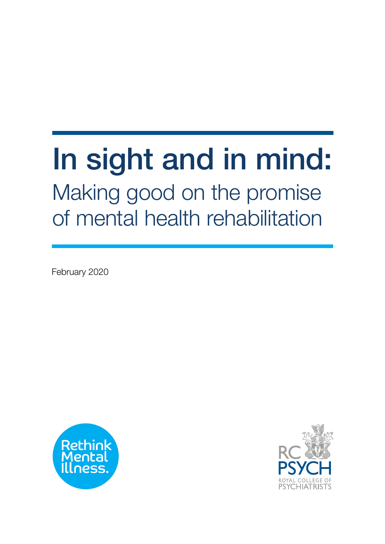# In sight and in mind: Making good on the promise of mental health rehabilitation

February 2020



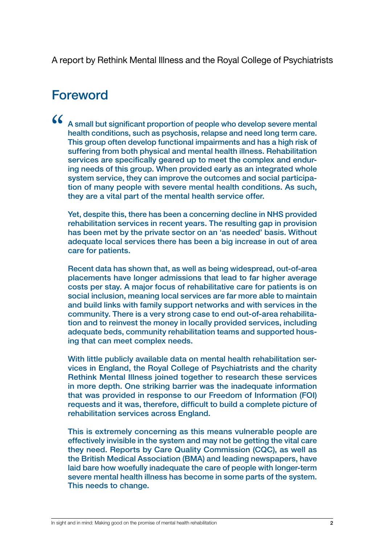A report by Rethink Mental Illness and the Royal College of Psychiatrists

## Foreword

A small but significant proportion of people who develop severe mental health conditions, such as psychosis, relapse and need long term care. This group often develop functional impairments and has a high risk of suffering from both physical and mental health illness. Rehabilitation services are specifically geared up to meet the complex and enduring needs of this group. When provided early as an integrated whole system service, they can improve the outcomes and social participation of many people with severe mental health conditions. As such, they are a vital part of the mental health service offer.  $\alpha$ 

Yet, despite this, there has been a concerning decline in NHS provided rehabilitation services in recent years. The resulting gap in provision has been met by the private sector on an 'as needed' basis. Without adequate local services there has been a big increase in out of area care for patients.

Recent data has shown that, as well as being widespread, out-of-area placements have longer admissions that lead to far higher average costs per stay. A major focus of rehabilitative care for patients is on social inclusion, meaning local services are far more able to maintain and build links with family support networks and with services in the community. There is a very strong case to end out-of-area rehabilitation and to reinvest the money in locally provided services, including adequate beds, community rehabilitation teams and supported housing that can meet complex needs.

With little publicly available data on mental health rehabilitation services in England, the Royal College of Psychiatrists and the charity Rethink Mental Illness joined together to research these services in more depth. One striking barrier was the inadequate information that was provided in response to our Freedom of Information (FOI) requests and it was, therefore, difficult to build a complete picture of rehabilitation services across England.

This is extremely concerning as this means vulnerable people are effectively invisible in the system and may not be getting the vital care they need. Reports by Care Quality Commission (CQC), as well as the British Medical Association (BMA) and leading newspapers, have laid bare how woefully inadequate the care of people with longer-term severe mental health illness has become in some parts of the system. This needs to change.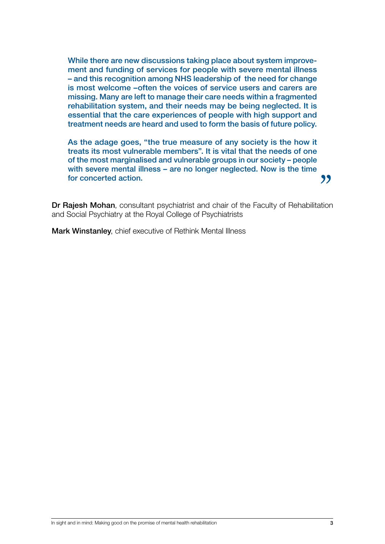While there are new discussions taking place about system improvement and funding of services for people with severe mental illness – and this recognition among NHS leadership of the need for change is most welcome –often the voices of service users and carers are missing. Many are left to manage their care needs within a fragmented rehabilitation system, and their needs may be being neglected. It is essential that the care experiences of people with high support and treatment needs are heard and used to form the basis of future policy.

As the adage goes, "the true measure of any society is the how it treats its most vulnerable members". It is vital that the needs of one of the most marginalised and vulnerable groups in our society – people with severe mental illness – are no longer neglected. Now is the time for concerted action.

Dr Rajesh Mohan, consultant psychiatrist and chair of the Faculty of Rehabilitation and Social Psychiatry at the Royal College of Psychiatrists

Mark Winstanley, chief executive of Rethink Mental Illness

"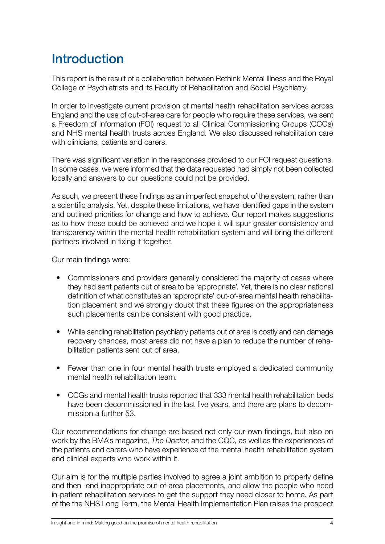## **Introduction**

This report is the result of a collaboration between Rethink Mental Illness and the Royal College of Psychiatrists and its Faculty of Rehabilitation and Social Psychiatry.

In order to investigate current provision of mental health rehabilitation services across England and the use of out-of-area care for people who require these services, we sent a Freedom of Information (FOI) request to all Clinical Commissioning Groups (CCGs) and NHS mental health trusts across England. We also discussed rehabilitation care with clinicians, patients and carers.

There was significant variation in the responses provided to our FOI request questions. In some cases, we were informed that the data requested had simply not been collected locally and answers to our questions could not be provided.

As such, we present these findings as an imperfect snapshot of the system, rather than a scientific analysis. Yet, despite these limitations, we have identified gaps in the system and outlined priorities for change and how to achieve. Our report makes suggestions as to how these could be achieved and we hope it will spur greater consistency and transparency within the mental health rehabilitation system and will bring the different partners involved in fixing it together.

Our main findings were:

- Commissioners and providers generally considered the majority of cases where they had sent patients out of area to be 'appropriate'. Yet, there is no clear national definition of what constitutes an 'appropriate' out-of-area mental health rehabilitation placement and we strongly doubt that these figures on the appropriateness such placements can be consistent with good practice.
- While sending rehabilitation psychiatry patients out of area is costly and can damage recovery chances, most areas did not have a plan to reduce the number of rehabilitation patients sent out of area.
- Fewer than one in four mental health trusts employed a dedicated community mental health rehabilitation team.
- CCGs and mental health trusts reported that 333 mental health rehabilitation beds have been decommissioned in the last five years, and there are plans to decommission a further 53.

Our recommendations for change are based not only our own findings, but also on work by the BMA's magazine, *The Doctor*, and the CQC, as well as the experiences of the patients and carers who have experience of the mental health rehabilitation system and clinical experts who work within it.

Our aim is for the multiple parties involved to agree a joint ambition to properly define and then end inappropriate out-of-area placements, and allow the people who need in-patient rehabilitation services to get the support they need closer to home. As part of the the NHS Long Term, the Mental Health Implementation Plan raises the prospect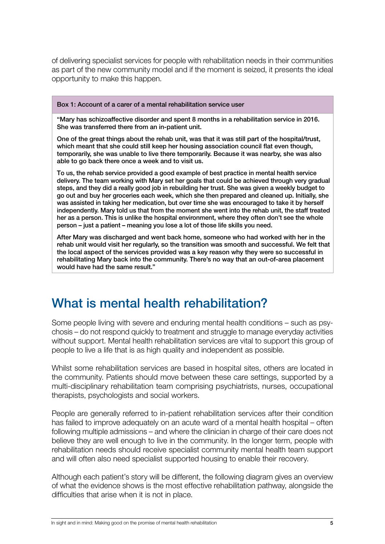of delivering specialist services for people with rehabilitation needs in their communities as part of the new community model and if the moment is seized, it presents the ideal opportunity to make this happen.

Box 1: Account of a carer of a mental rehabilitation service user

"Mary has schizoaffective disorder and spent 8 months in a rehabilitation service in 2016. She was transferred there from an in-patient unit.

One of the great things about the rehab unit, was that it was still part of the hospital/trust, which meant that she could still keep her housing association council flat even though, temporarily, she was unable to live there temporarily. Because it was nearby, she was also able to go back there once a week and to visit us.

To us, the rehab service provided a good example of best practice in mental health service delivery. The team working with Mary set her goals that could be achieved through very gradual steps, and they did a really good job in rebuilding her trust. She was given a weekly budget to go out and buy her groceries each week, which she then prepared and cleaned up. Initially, she was assisted in taking her medication, but over time she was encouraged to take it by herself independently. Mary told us that from the moment she went into the rehab unit, the staff treated her as a person. This is unlike the hospital environment, where they often don't see the whole person – just a patient – meaning you lose a lot of those life skills you need.

After Mary was discharged and went back home, someone who had worked with her in the rehab unit would visit her regularly, so the transition was smooth and successful. We felt that the local aspect of the services provided was a key reason why they were so successful in rehabilitating Mary back into the community. There's no way that an out-of-area placement would have had the same result."

## What is mental health rehabilitation?

Some people living with severe and enduring mental health conditions – such as psychosis – do not respond quickly to treatment and struggle to manage everyday activities without support. Mental health rehabilitation services are vital to support this group of people to live a life that is as high quality and independent as possible.

Whilst some rehabilitation services are based in hospital sites, others are located in the community. Patients should move between these care settings, supported by a multi-disciplinary rehabilitation team comprising psychiatrists, nurses, occupational therapists, psychologists and social workers.

People are generally referred to in-patient rehabilitation services after their condition has failed to improve adequately on an acute ward of a mental health hospital – often following multiple admissions – and where the clinician in charge of their care does not believe they are well enough to live in the community. In the longer term, people with rehabilitation needs should receive specialist community mental health team support and will often also need specialist supported housing to enable their recovery.

Although each patient's story will be different, the following diagram gives an overview of what the evidence shows is the most effective rehabilitation pathway, alongside the difficulties that arise when it is not in place.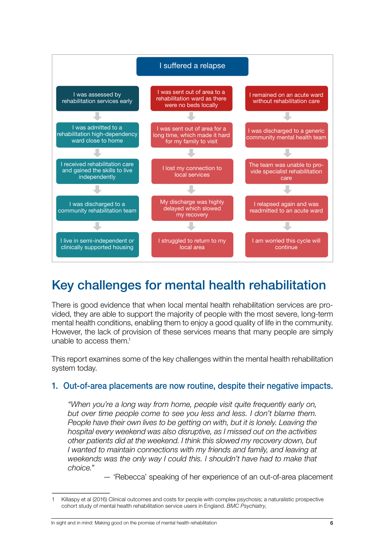

## Key challenges for mental health rehabilitation

There is good evidence that when local mental health rehabilitation services are provided, they are able to support the majority of people with the most severe, long-term mental health conditions, enabling them to enjoy a good quality of life in the community. However, the lack of provision of these services means that many people are simply unable to access them.<sup>1</sup>

This report examines some of the key challenges within the mental health rehabilitation system today.

#### 1. Out-of-area placements are now routine, despite their negative impacts.

*"When you're a long way from home, people visit quite frequently early on, but over time people come to see you less and less. I don't blame them. People have their own lives to be getting on with, but it is lonely. Leaving the hospital every weekend was also disruptive, as I missed out on the activities other patients did at the weekend. I think this slowed my recovery down, but I* wanted to maintain connections with my friends and family, and leaving at *weekends was the only way I could this. I shouldn't have had to make that choice."*

— 'Rebecca' speaking of her experience of an out-of-area placement

<sup>1</sup> Killaspy et al (2016) Clinical outcomes and costs for people with complex psychosis; a naturalistic prospective cohort study of mental health rehabilitation service users in England. *BMC Psychiatry*,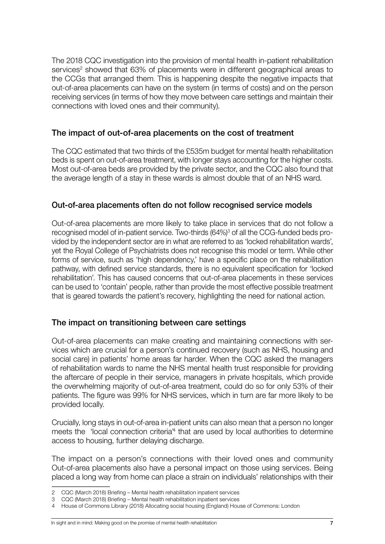The 2018 CQC investigation into the provision of mental health in-patient rehabilitation services<sup>2</sup> showed that 63% of placements were in different geographical areas to the CCGs that arranged them. This is happening despite the negative impacts that out-of-area placements can have on the system (in terms of costs) and on the person receiving services (in terms of how they move between care settings and maintain their connections with loved ones and their community).

#### The impact of out-of-area placements on the cost of treatment

The CQC estimated that two thirds of the £535m budget for mental health rehabilitation beds is spent on out-of-area treatment, with longer stays accounting for the higher costs. Most out-of-area beds are provided by the private sector, and the CQC also found that the average length of a stay in these wards is almost double that of an NHS ward.

#### Out-of-area placements often do not follow recognised service models

Out-of-area placements are more likely to take place in services that do not follow a recognised model of in-patient service. Two-thirds (64%)<sup>3</sup> of all the CCG-funded beds provided by the independent sector are in what are referred to as 'locked rehabilitation wards', yet the Royal College of Psychiatrists does not recognise this model or term. While other forms of service, such as 'high dependency,' have a specific place on the rehabilitation pathway, with defined service standards, there is no equivalent specification for 'locked rehabilitation'. This has caused concerns that out-of-area placements in these services can be used to 'contain' people, rather than provide the most effective possible treatment that is geared towards the patient's recovery, highlighting the need for national action.

#### The impact on transitioning between care settings

Out-of-area placements can make creating and maintaining connections with services which are crucial for a person's continued recovery (such as NHS, housing and social care) in patients' home areas far harder. When the CQC asked the managers of rehabilitation wards to name the NHS mental health trust responsible for providing the aftercare of people in their service, managers in private hospitals, which provide the overwhelming majority of out-of-area treatment, could do so for only 53% of their patients. The figure was 99% for NHS services, which in turn are far more likely to be provided locally.

Crucially, long stays in out-of-area in-patient units can also mean that a person no longer meets the 'local connection criteria<sup>4</sup> that are used by local authorities to determine access to housing, further delaying discharge.

The impact on a person's connections with their loved ones and community Out-of-area placements also have a personal impact on those using services. Being placed a long way from home can place a strain on individuals' relationships with their

<sup>2</sup> CQC (March 2018) Briefing – Mental health rehabilitation inpatient services

<sup>3</sup> CQC (March 2018) Briefing – Mental health rehabilitation inpatient services

<sup>4</sup> House of Commons Library (2018) Allocating social housing (England) House of Commons: London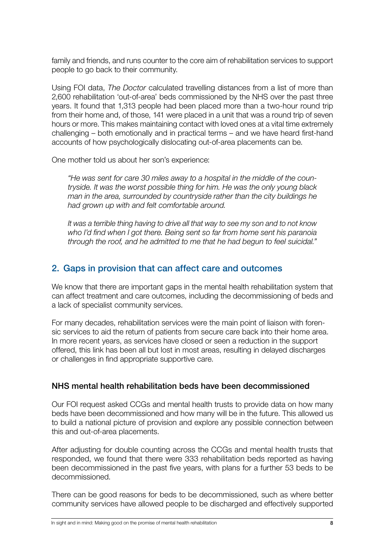family and friends, and runs counter to the core aim of rehabilitation services to support people to go back to their community.

Using FOI data, *The Doctor* calculated travelling distances from a list of more than 2,600 rehabilitation 'out-of-area' beds commissioned by the NHS over the past three years. It found that 1,313 people had been placed more than a two-hour round trip from their home and, of those, 141 were placed in a unit that was a round trip of seven hours or more. This makes maintaining contact with loved ones at a vital time extremely challenging – both emotionally and in practical terms – and we have heard first-hand accounts of how psychologically dislocating out-of-area placements can be.

One mother told us about her son's experience:

*"He was sent for care 30 miles away to a hospital in the middle of the countryside. It was the worst possible thing for him. He was the only young black man in the area, surrounded by countryside rather than the city buildings he had grown up with and felt comfortable around.* 

*It was a terrible thing having to drive all that way to see my son and to not know who I'd find when I got there. Being sent so far from home sent his paranoia through the roof, and he admitted to me that he had begun to feel suicidal."*

### 2. Gaps in provision that can affect care and outcomes

We know that there are important gaps in the mental health rehabilitation system that can affect treatment and care outcomes, including the decommissioning of beds and a lack of specialist community services.

For many decades, rehabilitation services were the main point of liaison with forensic services to aid the return of patients from secure care back into their home area. In more recent years, as services have closed or seen a reduction in the support offered, this link has been all but lost in most areas, resulting in delayed discharges or challenges in find appropriate supportive care.

#### NHS mental health rehabilitation beds have been decommissioned

Our FOI request asked CCGs and mental health trusts to provide data on how many beds have been decommissioned and how many will be in the future. This allowed us to build a national picture of provision and explore any possible connection between this and out-of-area placements.

After adjusting for double counting across the CCGs and mental health trusts that responded, we found that there were 333 rehabilitation beds reported as having been decommissioned in the past five years, with plans for a further 53 beds to be decommissioned.

There can be good reasons for beds to be decommissioned, such as where better community services have allowed people to be discharged and effectively supported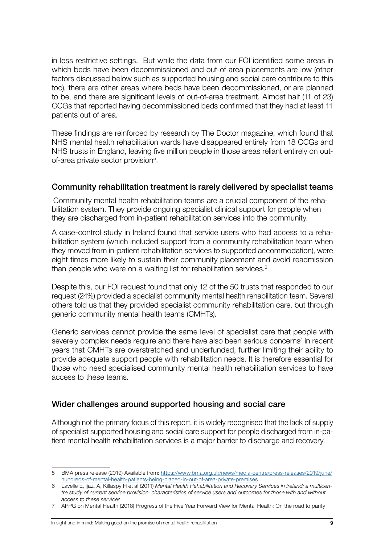in less restrictive settings. But while the data from our FOI identified some areas in which beds have been decommissioned and out-of-area placements are low (other factors discussed below such as supported housing and social care contribute to this too), there are other areas where beds have been decommissioned, or are planned to be, and there are significant levels of out-of-area treatment. Almost half (11 of 23) CCGs that reported having decommissioned beds confirmed that they had at least 11 patients out of area.

These findings are reinforced by research by The Doctor magazine, which found that NHS mental health rehabilitation wards have disappeared entirely from 18 CCGs and NHS trusts in England, leaving five million people in those areas reliant entirely on outof-area private sector provision<sup>5</sup>.

#### Community rehabilitation treatment is rarely delivered by specialist teams

Community mental health rehabilitation teams are a crucial component of the rehabilitation system. They provide ongoing specialist clinical support for people when they are discharged from in-patient rehabilitation services into the community.

A case-control study in Ireland found that service users who had access to a rehabilitation system (which included support from a community rehabilitation team when they moved from in-patient rehabilitation services to supported accommodation), were eight times more likely to sustain their community placement and avoid readmission than people who were on a waiting list for rehabilitation services.6

Despite this, our FOI request found that only 12 of the 50 trusts that responded to our request (24%) provided a specialist community mental health rehabilitation team. Several others told us that they provided specialist community rehabilitation care, but through generic community mental health teams (CMHTs).

Generic services cannot provide the same level of specialist care that people with severely complex needs require and there have also been serious concerns<sup>7</sup> in recent years that CMHTs are overstretched and underfunded, further limiting their ability to provide adequate support people with rehabilitation needs. It is therefore essential for those who need specialised community mental health rehabilitation services to have access to these teams.

#### Wider challenges around supported housing and social care

Although not the primary focus of this report, it is widely recognised that the lack of supply of specialist supported housing and social care support for people discharged from in-patient mental health rehabilitation services is a major barrier to discharge and recovery.

<sup>5</sup> BMA press release (2019) Available from: [https://www.bma.org.uk/news/media-centre/press-releases/2019/june/](https://www.bma.org.uk/news/media-centre/press-releases/2019/june/hundreds-of-mental-health-patients-being-placed-in-out-of-area-private-premises) [hundreds-of-mental-health-patients-being-placed-in-out-of-area-private-premises](https://www.bma.org.uk/news/media-centre/press-releases/2019/june/hundreds-of-mental-health-patients-being-placed-in-out-of-area-private-premises)

<sup>6</sup> Lavelle E, Ijaz, A, Killaspy H et al (2011) *Mental Health Rehabilitation and Recovery Services in Ireland: a multicentre study of current service provision, characteristics of service users and outcomes for those with and without access to these services.*

<sup>7</sup> APPG on Mental Health (2018) Progress of the Five Year Forward View for Mental Health: On the road to parity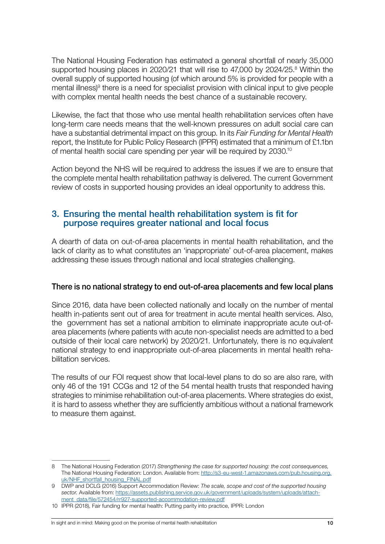The National Housing Federation has estimated a general shortfall of nearly 35,000 supported housing places in 2020/21 that will rise to 47,000 by 2024/25.<sup>8</sup> Within the overall supply of supported housing (of which around 5% is provided for people with a mental illness)<sup>9</sup> there is a need for specialist provision with clinical input to give people with complex mental health needs the best chance of a sustainable recovery.

Likewise, the fact that those who use mental health rehabilitation services often have long-term care needs means that the well-known pressures on adult social care can have a substantial detrimental impact on this group. In its *Fair Funding for Mental Health*  report, the Institute for Public Policy Research (IPPR) estimated that a minimum of £1.1bn of mental health social care spending per year will be required by 2030.10

Action beyond the NHS will be required to address the issues if we are to ensure that the complete mental health rehabilitation pathway is delivered. The current Government review of costs in supported housing provides an ideal opportunity to address this.

#### 3. Ensuring the mental health rehabilitation system is fit for purpose requires greater national and local focus

A dearth of data on out-of-area placements in mental health rehabilitation, and the lack of clarity as to what constitutes an 'inappropriate' out-of-area placement, makes addressing these issues through national and local strategies challenging.

#### There is no national strategy to end out-of-area placements and few local plans

Since 2016, data have been collected nationally and locally on the number of mental health in-patients sent out of area for treatment in acute mental health services. Also, the government has set a national ambition to eliminate inappropriate acute out-ofarea placements (where patients with acute non-specialist needs are admitted to a bed outside of their local care network) by 2020/21. Unfortunately, there is no equivalent national strategy to end inappropriate out-of-area placements in mental health rehabilitation services.

The results of our FOI request show that local-level plans to do so are also rare, with only 46 of the 191 CCGs and 12 of the 54 mental health trusts that responded having strategies to minimise rehabilitation out-of-area placements. Where strategies do exist, it is hard to assess whether they are sufficiently ambitious without a national framework to measure them against.

#### In sight and in mind: Making good on the promise of mental health rehabilitation 10

<sup>8</sup> The National Housing Federation (2017) *Strengthening the case for supported housing: the cost consequences,* The National Housing Federation: London. Available from: [http://s3-eu-west-1.amazonaws.com/pub.housing.org.](http://s3-eu-west-1.amazonaws.com/pub.housing.org.uk/NHF_shortfall_housing_FINAL.pdf) [uk/NHF\\_shortfall\\_housing\\_FINAL.pdf](http://s3-eu-west-1.amazonaws.com/pub.housing.org.uk/NHF_shortfall_housing_FINAL.pdf)

<sup>9</sup> DWP and DCLG (2016) Support Accommodation Review: *The scale, scope and cost of the supported housing*  sector. Available from: [https://assets.publishing.service.gov.uk/government/uploads/system/uploads/attach](https://assets.publishing.service.gov.uk/government/uploads/system/uploads/attachment_data/file/572454/rr927-supported-accommodation-review.pdf)[ment\\_data/file/572454/rr927-supported-accommodation-review.pdf](https://assets.publishing.service.gov.uk/government/uploads/system/uploads/attachment_data/file/572454/rr927-supported-accommodation-review.pdf)

<sup>10</sup> IPPR (2018), Fair funding for mental health: Putting parity into practice, IPPR: London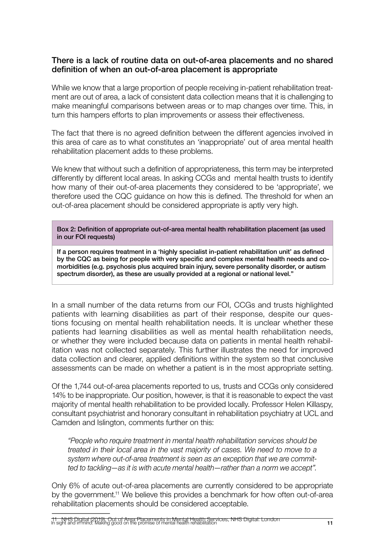#### There is a lack of routine data on out-of-area placements and no shared definition of when an out-of-area placement is appropriate

While we know that a large proportion of people receiving in-patient rehabilitation treatment are out of area, a lack of consistent data collection means that it is challenging to make meaningful comparisons between areas or to map changes over time. This, in turn this hampers efforts to plan improvements or assess their effectiveness.

The fact that there is no agreed definition between the different agencies involved in this area of care as to what constitutes an 'inappropriate' out of area mental health rehabilitation placement adds to these problems.

We knew that without such a definition of appropriateness, this term may be interpreted differently by different local areas. In asking CCGs and mental health trusts to identify how many of their out-of-area placements they considered to be 'appropriate', we therefore used the CQC guidance on how this is defined. The threshold for when an out-of-area placement should be considered appropriate is aptly very high.

Box 2: Definition of appropriate out-of-area mental health rehabilitation placement (as used in our FOI requests)

If a person requires treatment in a 'highly specialist in-patient rehabilitation unit' as defined by the CQC as being for people with very specific and complex mental health needs and comorbidities (e.g. psychosis plus acquired brain injury, severe personality disorder, or autism spectrum disorder), as these are usually provided at a regional or national level."

In a small number of the data returns from our FOI, CCGs and trusts highlighted patients with learning disabilities as part of their response, despite our questions focusing on mental health rehabilitation needs. It is unclear whether these patients had learning disabilities as well as mental health rehabilitation needs, or whether they were included because data on patients in mental health rehabilitation was not collected separately. This further illustrates the need for improved data collection and clearer, applied definitions within the system so that conclusive assessments can be made on whether a patient is in the most appropriate setting.

Of the 1,744 out-of-area placements reported to us, trusts and CCGs only considered 14% to be inappropriate. Our position, however, is that it is reasonable to expect the vast majority of mental health rehabilitation to be provided locally. Professor Helen Killaspy, consultant psychiatrist and honorary consultant in rehabilitation psychiatry at UCL and Camden and Islington, comments further on this:

*"People who require treatment in mental health rehabilitation services should be treated in their local area in the vast majority of cases. We need to move to a system where out-of-area treatment is seen as an exception that we are committed to tackling—as it is with acute mental health—rather than a norm we accept".* 

Only 6% of acute out-of-area placements are currently considered to be appropriate by the government.11 We believe this provides a benchmark for how often out-of-area rehabilitation placements should be considered acceptable.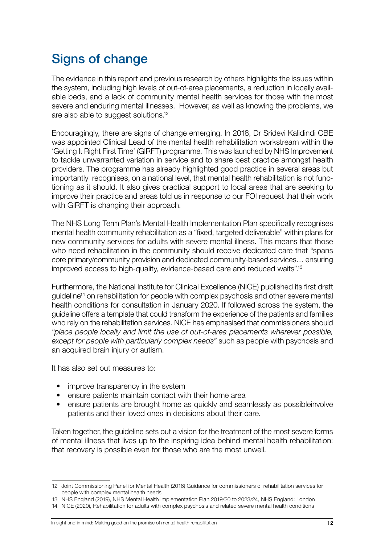## Signs of change

The evidence in this report and previous research by others highlights the issues within the system, including high levels of out-of-area placements, a reduction in locally available beds, and a lack of community mental health services for those with the most severe and enduring mental illnesses. However, as well as knowing the problems, we are also able to suggest solutions.12

Encouragingly, there are signs of change emerging. In 2018, Dr Sridevi Kalidindi CBE was appointed Clinical Lead of the mental health rehabilitation workstream within the 'Getting It Right First Time' (GIRFT) programme. This was launched by NHS Improvement to tackle unwarranted variation in service and to share best practice amongst health providers. The programme has already highlighted good practice in several areas but importantly recognises, on a national level, that mental health rehabilitation is not functioning as it should. It also gives practical support to local areas that are seeking to improve their practice and areas told us in response to our FOI request that their work with GIRFT is changing their approach.

The NHS Long Term Plan's Mental Health Implementation Plan specifically recognises mental health community rehabilitation as a "fixed, targeted deliverable" within plans for new community services for adults with severe mental illness. This means that those who need rehabilitation in the community should receive dedicated care that "spans core primary/community provision and dedicated community-based services… ensuring improved access to high-quality, evidence-based care and reduced waits".13

Furthermore, the National Institute for Clinical Excellence (NICE) published its first draft guideline<sup>14</sup> on rehabilitation for people with complex psychosis and other severe mental health conditions for consultation in January 2020. If followed across the system, the guideline offers a template that could transform the experience of the patients and families who rely on the rehabilitation services. NICE has emphasised that commissioners should *"place people locally and limit the use of out-of-area placements wherever possible, except for people with particularly complex needs"* such as people with psychosis and an acquired brain injury or autism.

It has also set out measures to:

- improve transparency in the system
- ensure patients maintain contact with their home area
- ensure patients are brought home as quickly and seamlessly as possibleinvolve patients and their loved ones in decisions about their care.

Taken together, the guideline sets out a vision for the treatment of the most severe forms of mental illness that lives up to the inspiring idea behind mental health rehabilitation: that recovery is possible even for those who are the most unwell.

<sup>12</sup> Joint Commissioning Panel for Mental Health (2016) Guidance for commissioners of rehabilitation services for people with complex mental health needs

<sup>13</sup> NHS England (2019), NHS Mental Health Implementation Plan 2019/20 to 2023/24, NHS England: London

<sup>14</sup> NICE (2020), Rehabilitation for adults with complex psychosis and related severe mental health conditions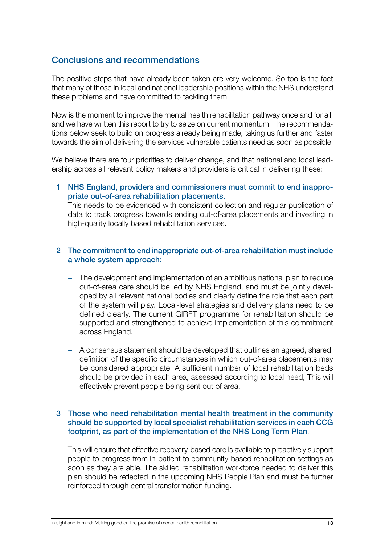#### Conclusions and recommendations

The positive steps that have already been taken are very welcome. So too is the fact that many of those in local and national leadership positions within the NHS understand these problems and have committed to tackling them.

Now is the moment to improve the mental health rehabilitation pathway once and for all, and we have written this report to try to seize on current momentum. The recommendations below seek to build on progress already being made, taking us further and faster towards the aim of delivering the services vulnerable patients need as soon as possible.

We believe there are four priorities to deliver change, and that national and local leadership across all relevant policy makers and providers is critical in delivering these:

1 NHS England, providers and commissioners must commit to end inappropriate out-of-area rehabilitation placements.

This needs to be evidenced with consistent collection and regular publication of data to track progress towards ending out-of-area placements and investing in high-quality locally based rehabilitation services.

#### 2 The commitment to end inappropriate out-of-area rehabilitation must include a whole system approach:

- − The development and implementation of an ambitious national plan to reduce out-of-area care should be led by NHS England, and must be jointly developed by all relevant national bodies and clearly define the role that each part of the system will play. Local-level strategies and delivery plans need to be defined clearly. The current GIRFT programme for rehabilitation should be supported and strengthened to achieve implementation of this commitment across England.
- − A consensus statement should be developed that outlines an agreed, shared, definition of the specific circumstances in which out-of-area placements may be considered appropriate. A sufficient number of local rehabilitation beds should be provided in each area, assessed according to local need, This will effectively prevent people being sent out of area.

#### 3 Those who need rehabilitation mental health treatment in the community should be supported by local specialist rehabilitation services in each CCG footprint, as part of the implementation of the NHS Long Term Plan.

This will ensure that effective recovery-based care is available to proactively support people to progress from in-patient to community-based rehabilitation settings as soon as they are able. The skilled rehabilitation workforce needed to deliver this plan should be reflected in the upcoming NHS People Plan and must be further reinforced through central transformation funding.